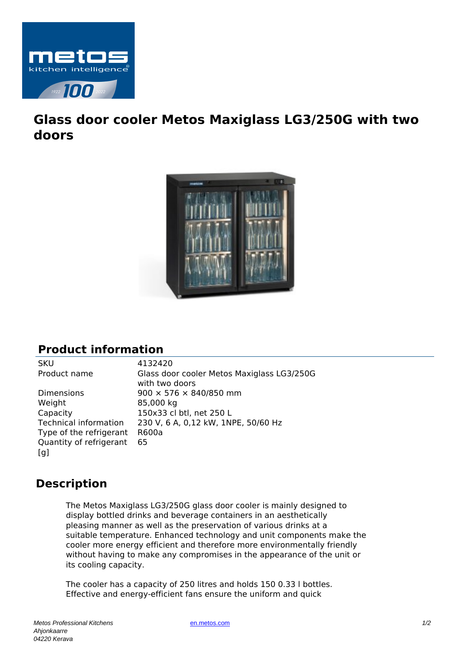

## **Glass door cooler Metos Maxiglass LG3/250G with two doors**



## **Product information**

SKU 4132420<br>Product name Glass doc Glass door cooler Metos Maxiglass LG3/250G with two doors Dimensions 900 × 576 × 840/850 mm Weight 85,000 kg Capacity 150x33 cl btl, net 250 L Technical information 230 V, 6 A, 0,12 kW, 1NPE, 50/60 Hz Type of the refrigerant R600a Quantity of refrigerant [g] 65

## **Description**

The Metos Maxiglass LG3/250G glass door cooler is mainly designed to display bottled drinks and beverage containers in an aesthetically pleasing manner as well as the preservation of various drinks at a suitable temperature. Enhanced technology and unit components make the cooler more energy efficient and therefore more environmentally friendly without having to make any compromises in the appearance of the unit or its cooling capacity.

The cooler has a capacity of 250 litres and holds 150 0.33 l bottles. Effective and energy-efficient fans ensure the uniform and quick